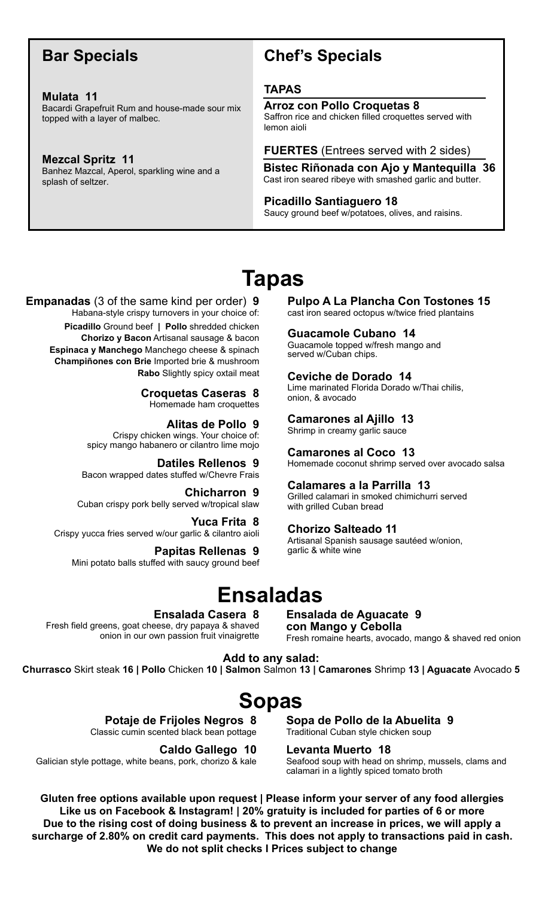# **Bar Specials**

#### **Mulata 11**  Bacardi Grapefruit Rum and house-made sour mix topped with a layer of malbec.

**Mezcal Spritz 11**  Banhez Mazcal, Aperol, sparkling wine and a splash of seltzer.

# **Chef's Specials**

## **TAPAS**

#### **Arroz con Pollo Croquetas 8**

Saffron rice and chicken filled croquettes served with lemon aioli

**FUERTES** (Entrees served with 2 sides)

**Bistec Riñonada con Ajo y Mantequilla 36** Cast iron seared ribeye with smashed garlic and butter.

#### **Picadillo Santiaguero 18**

Saucy ground beef w/potatoes, olives, and raisins.

# **Tapas**

#### **Empanadas** (3 of the same kind per order) **9** Habana-style crispy turnovers in your choice of:

**Picadillo** Ground beef **| Pollo** shredded chicken **Chorizo y Bacon** Artisanal sausage & bacon **Espinaca y Manchego** Manchego cheese & spinach **Champiñones con Brie** Imported brie & mushroom **Rabo** Slightly spicy oxtail meat

> **Croquetas Caseras 8**  Homemade ham croquettes

#### **Alitas de Pollo 9**

Crispy chicken wings. Your choice of: spicy mango habanero or cilantro lime mojo

#### **Datiles Rellenos 9**

Bacon wrapped dates stuffed w/Chevre Frais

**Chicharron 9**  Cuban crispy pork belly served w/tropical slaw

**Yuca Frita 8**  Crispy yucca fries served w/our garlic & cilantro aioli

#### **Papitas Rellenas 9**

Mini potato balls stuffed with saucy ground beef

**Pulpo A La Plancha Con Tostones 15**  cast iron seared octopus w/twice fried plantains

#### **Guacamole Cubano 14**

Guacamole topped w/fresh mango and served w/Cuban chips.

## **Ceviche de Dorado 14**

Lime marinated Florida Dorado w/Thai chilis, onion, & avocado

## **Camarones al Ajillo 13**

Shrimp in creamy garlic sauce

#### **Camarones al Coco 13**

Homemade coconut shrimp served over avocado salsa

#### **Calamares a la Parrilla 13**

Grilled calamari in smoked chimichurri served with grilled Cuban bread

#### **Chorizo Salteado 11**

Artisanal Spanish sausage sautéed w/onion, garlic & white wine

# **Ensaladas**

**Ensalada Casera 8** 

Fresh field greens, goat cheese, dry papaya & shaved onion in our own passion fruit vinaigrette

**Ensalada de Aguacate 9 con Mango y Cebolla**  Fresh romaine hearts, avocado, mango & shaved red onion

**Add to any salad: Churrasco** Skirt steak **16 | Pollo** Chicken **10 | Salmon** Salmon **13 | Camarones** Shrimp **13 | Aguacate** Avocado **5** 

# **Sopas**

**Potaje de Frijoles Negros 8** 

Classic cumin scented black bean pottage

**Caldo Gallego 10**

Galician style pottage, white beans, pork, chorizo & kale

**Sopa de Pollo de la Abuelita 9**  Traditional Cuban style chicken soup

#### **Levanta Muerto 18**

Seafood soup with head on shrimp, mussels, clams and calamari in a lightly spiced tomato broth

**Gluten free options available upon request | Please inform your server of any food allergies Like us on Facebook & Instagram! | 20% gratuity is included for parties of 6 or more Due to the rising cost of doing business & to prevent an increase in prices, we will apply a surcharge of 2.80% on credit card payments. This does not apply to transactions paid in cash. We do not split checks I Prices subject to change**